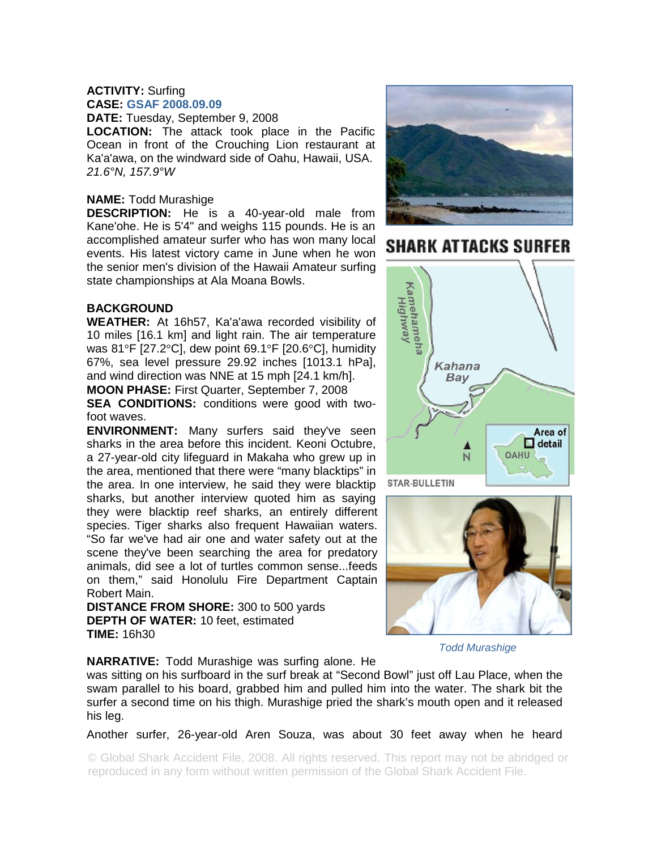## **ACTIVITY:** Surfing **CASE: GSAF 2008.09.09**

**DATE:** Tuesday, September 9, 2008

**LOCATION:** The attack took place in the Pacific Ocean in front of the Crouching Lion restaurant at Ka'a'awa, on the windward side of Oahu, Hawaii, USA. *21.6°N, 157.9°W* 

## **NAME:** Todd Murashige

**DESCRIPTION:** He is a 40-year-old male from Kane'ohe. He is 5'4" and weighs 115 pounds. He is an accomplished amateur surfer who has won many local events. His latest victory came in June when he won the senior men's division of the Hawaii Amateur surfing state championships at Ala Moana Bowls.

## **BACKGROUND**

**WEATHER:** At 16h57, Ka'a'awa recorded visibility of 10 miles [16.1 km] and light rain. The air temperature was 81°F [27.2°C], dew point 69.1°F [20.6°C], humidity 67%, sea level pressure 29.92 inches [1013.1 hPa], and wind direction was NNE at 15 mph [24.1 km/h].

**MOON PHASE:** First Quarter, September 7, 2008

**SEA CONDITIONS:** conditions were good with twofoot waves.

**ENVIRONMENT:** Many surfers said they've seen sharks in the area before this incident. Keoni Octubre, a 27-year-old city lifeguard in Makaha who grew up in the area, mentioned that there were "many blacktips" in the area. In one interview, he said they were blacktip sharks, but another interview quoted him as saying they were blacktip reef sharks, an entirely different species. Tiger sharks also frequent Hawaiian waters. "So far we've had air one and water safety out at the scene they've been searching the area for predatory animals, did see a lot of turtles common sense...feeds on them," said Honolulu Fire Department Captain Robert Main.

**DISTANCE FROM SHORE:** 300 to 500 yards **DEPTH OF WATER:** 10 feet, estimated **TIME:** 16h30



## **SHARK ATTACKS SURFER**





*Todd Murashige* 

**NARRATIVE:** Todd Murashige was surfing alone. He

was sitting on his surfboard in the surf break at "Second Bowl" just off Lau Place, when the swam parallel to his board, grabbed him and pulled him into the water. The shark bit the surfer a second time on his thigh. Murashige pried the shark's mouth open and it released his leg.

Another surfer, 26-year-old Aren Souza, was about 30 feet away when he heard

© Global Shark Accident File, 2008. All rights reserved. This report may not be abridged or reproduced in any form without written permission of the Global Shark Accident File.